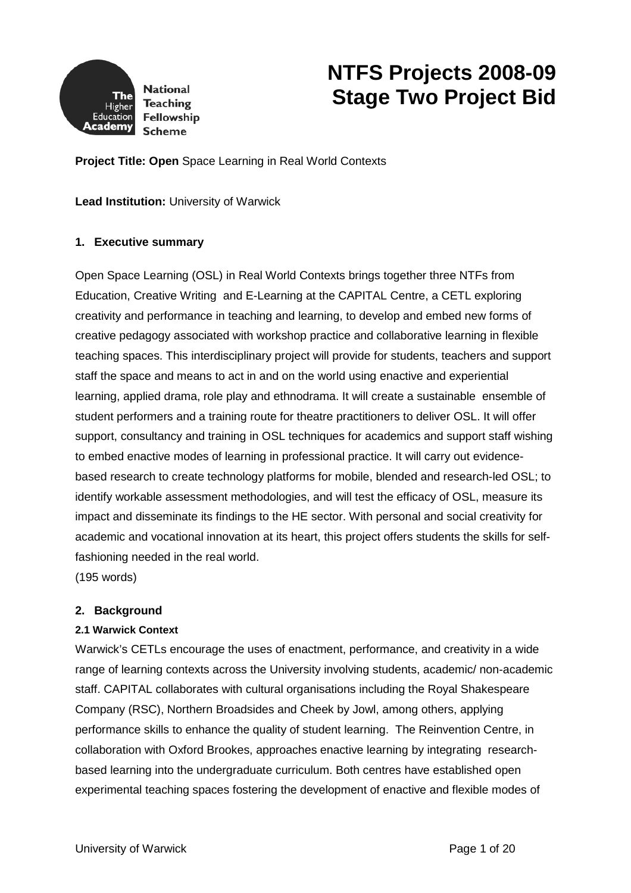

# **NTFS Projects 2008-09 Stage Two Project Bid**

**Project Title: Open** Space Learning in Real World Contexts

**Lead Institution:** University of Warwick

## **1. Executive summary**

Open Space Learning (OSL) in Real World Contexts brings together three NTFs from Education, Creative Writing and E-Learning at the CAPITAL Centre, a CETL exploring creativity and performance in teaching and learning, to develop and embed new forms of creative pedagogy associated with workshop practice and collaborative learning in flexible teaching spaces. This interdisciplinary project will provide for students, teachers and support staff the space and means to act in and on the world using enactive and experiential learning, applied drama, role play and ethnodrama. It will create a sustainable ensemble of student performers and a training route for theatre practitioners to deliver OSL. It will offer support, consultancy and training in OSL techniques for academics and support staff wishing to embed enactive modes of learning in professional practice. It will carry out evidencebased research to create technology platforms for mobile, blended and research-led OSL; to identify workable assessment methodologies, and will test the efficacy of OSL, measure its impact and disseminate its findings to the HE sector. With personal and social creativity for academic and vocational innovation at its heart, this project offers students the skills for selffashioning needed in the real world.

(195 words)

## **2. Background**

#### **2.1 Warwick Context**

Warwick's CETLs encourage the uses of enactment, performance, and creativity in a wide range of learning contexts across the University involving students, academic/ non-academic staff. CAPITAL collaborates with cultural organisations including the Royal Shakespeare Company (RSC), Northern Broadsides and Cheek by Jowl, among others, applying performance skills to enhance the quality of student learning. The Reinvention Centre, in collaboration with Oxford Brookes, approaches enactive learning by integrating researchbased learning into the undergraduate curriculum. Both centres have established open experimental teaching spaces fostering the development of enactive and flexible modes of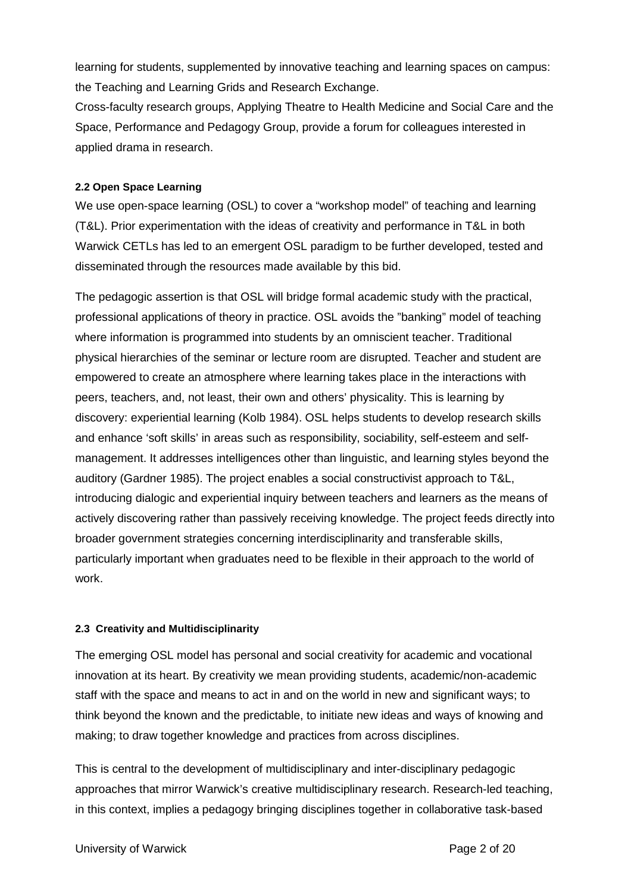learning for students, supplemented by innovative teaching and learning spaces on campus: the Teaching and Learning Grids and Research Exchange.

Cross-faculty research groups, Applying Theatre to Health Medicine and Social Care and the Space, Performance and Pedagogy Group, provide a forum for colleagues interested in applied drama in research.

## **2.2 Open Space Learning**

We use open-space learning (OSL) to cover a "workshop model" of teaching and learning (T&L). Prior experimentation with the ideas of creativity and performance in T&L in both Warwick CETLs has led to an emergent OSL paradigm to be further developed, tested and disseminated through the resources made available by this bid.

The pedagogic assertion is that OSL will bridge formal academic study with the practical, professional applications of theory in practice. OSL avoids the "banking" model of teaching where information is programmed into students by an omniscient teacher. Traditional physical hierarchies of the seminar or lecture room are disrupted. Teacher and student are empowered to create an atmosphere where learning takes place in the interactions with peers, teachers, and, not least, their own and others' physicality. This is learning by discovery: experiential learning (Kolb 1984). OSL helps students to develop research skills and enhance 'soft skills' in areas such as responsibility, sociability, self-esteem and selfmanagement. It addresses intelligences other than linguistic, and learning styles beyond the auditory (Gardner 1985). The project enables a social constructivist approach to T&L, introducing dialogic and experiential inquiry between teachers and learners as the means of actively discovering rather than passively receiving knowledge. The project feeds directly into broader government strategies concerning interdisciplinarity and transferable skills, particularly important when graduates need to be flexible in their approach to the world of work.

# **2.3 Creativity and Multidisciplinarity**

The emerging OSL model has personal and social creativity for academic and vocational innovation at its heart. By creativity we mean providing students, academic/non-academic staff with the space and means to act in and on the world in new and significant ways; to think beyond the known and the predictable, to initiate new ideas and ways of knowing and making; to draw together knowledge and practices from across disciplines.

This is central to the development of multidisciplinary and inter-disciplinary pedagogic approaches that mirror Warwick's creative multidisciplinary research. Research-led teaching, in this context, implies a pedagogy bringing disciplines together in collaborative task-based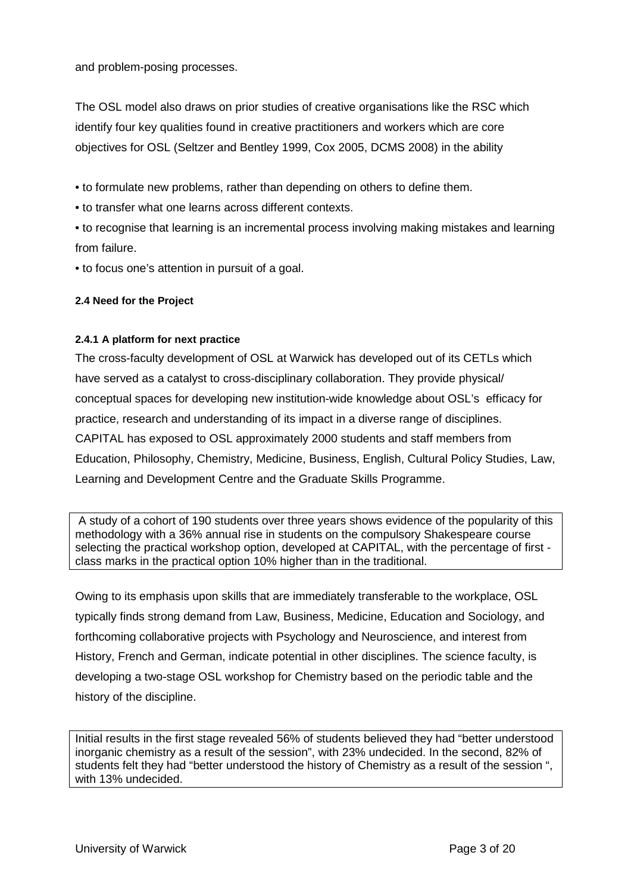and problem-posing processes.

The OSL model also draws on prior studies of creative organisations like the RSC which identify four key qualities found in creative practitioners and workers which are core objectives for OSL (Seltzer and Bentley 1999, Cox 2005, DCMS 2008) in the ability

• to formulate new problems, rather than depending on others to define them.

• to transfer what one learns across different contexts.

• to recognise that learning is an incremental process involving making mistakes and learning from failure.

• to focus one's attention in pursuit of a goal.

# **2.4 Need for the Project**

## **2.4.1 A platform for next practice**

The cross-faculty development of OSL at Warwick has developed out of its CETLs which have served as a catalyst to cross-disciplinary collaboration. They provide physical/ conceptual spaces for developing new institution-wide knowledge about OSL's efficacy for practice, research and understanding of its impact in a diverse range of disciplines. CAPITAL has exposed to OSL approximately 2000 students and staff members from Education, Philosophy, Chemistry, Medicine, Business, English, Cultural Policy Studies, Law, Learning and Development Centre and the Graduate Skills Programme.

A study of a cohort of 190 students over three years shows evidence of the popularity of this methodology with a 36% annual rise in students on the compulsory Shakespeare course selecting the practical workshop option, developed at CAPITAL, with the percentage of first class marks in the practical option 10% higher than in the traditional.

Owing to its emphasis upon skills that are immediately transferable to the workplace, OSL typically finds strong demand from Law, Business, Medicine, Education and Sociology, and forthcoming collaborative projects with Psychology and Neuroscience, and interest from History, French and German, indicate potential in other disciplines. The science faculty, is developing a two-stage OSL workshop for Chemistry based on the periodic table and the history of the discipline.

Initial results in the first stage revealed 56% of students believed they had "better understood inorganic chemistry as a result of the session", with 23% undecided. In the second, 82% of students felt they had "better understood the history of Chemistry as a result of the session ", with 13% undecided.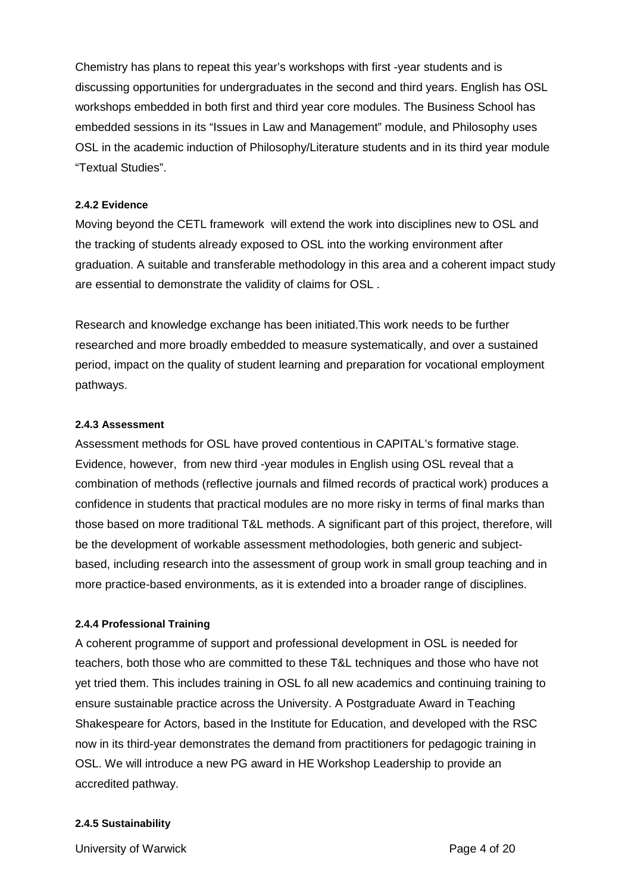Chemistry has plans to repeat this year's workshops with first -year students and is discussing opportunities for undergraduates in the second and third years. English has OSL workshops embedded in both first and third year core modules. The Business School has embedded sessions in its "Issues in Law and Management" module, and Philosophy uses OSL in the academic induction of Philosophy/Literature students and in its third year module "Textual Studies".

#### **2.4.2 Evidence**

Moving beyond the CETL framework will extend the work into disciplines new to OSL and the tracking of students already exposed to OSL into the working environment after graduation. A suitable and transferable methodology in this area and a coherent impact study are essential to demonstrate the validity of claims for OSL .

Research and knowledge exchange has been initiated.This work needs to be further researched and more broadly embedded to measure systematically, and over a sustained period, impact on the quality of student learning and preparation for vocational employment pathways.

#### **2.4.3 Assessment**

Assessment methods for OSL have proved contentious in CAPITAL's formative stage. Evidence, however, from new third -year modules in English using OSL reveal that a combination of methods (reflective journals and filmed records of practical work) produces a confidence in students that practical modules are no more risky in terms of final marks than those based on more traditional T&L methods. A significant part of this project, therefore, will be the development of workable assessment methodologies, both generic and subjectbased, including research into the assessment of group work in small group teaching and in more practice-based environments, as it is extended into a broader range of disciplines.

## **2.4.4 Professional Training**

A coherent programme of support and professional development in OSL is needed for teachers, both those who are committed to these T&L techniques and those who have not yet tried them. This includes training in OSL fo all new academics and continuing training to ensure sustainable practice across the University. A Postgraduate Award in Teaching Shakespeare for Actors, based in the Institute for Education, and developed with the RSC now in its third-year demonstrates the demand from practitioners for pedagogic training in OSL. We will introduce a new PG award in HE Workshop Leadership to provide an accredited pathway.

#### **2.4.5 Sustainability**

University of Warwick **Page 4 of 20**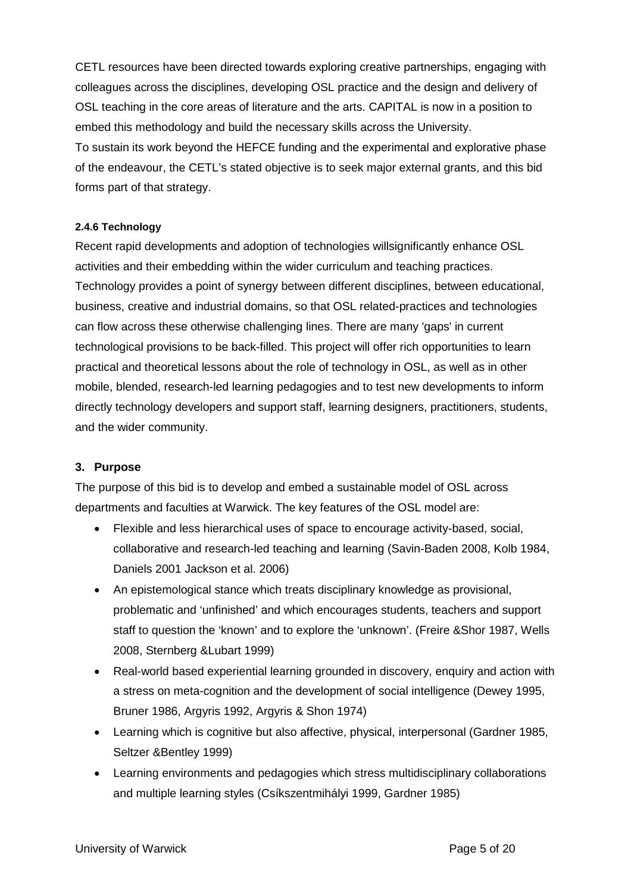CETL resources have been directed towards exploring creative partnerships, engaging with colleagues across the disciplines, developing OSL practice and the design and delivery of OSL teaching in the core areas of literature and the arts. CAPITAL is now in a position to embed this methodology and build the necessary skills across the University. To sustain its work beyond the HEFCE funding and the experimental and explorative phase of the endeavour, the CETL's stated objective is to seek major external grants, and this bid forms part of that strategy.

## **2.4.6 Technology**

Recent rapid developments and adoption of technologies willsignificantly enhance OSL activities and their embedding within the wider curriculum and teaching practices. Technology provides a point of synergy between different disciplines, between educational, business, creative and industrial domains, so that OSL related-practices and technologies can flow across these otherwise challenging lines. There are many 'gaps' in current technological provisions to be back-filled. This project will offer rich opportunities to learn practical and theoretical lessons about the role of technology in OSL, as well as in other mobile, blended, research-led learning pedagogies and to test new developments to inform directly technology developers and support staff, learning designers, practitioners, students, and the wider community.

# **3. Purpose**

The purpose of this bid is to develop and embed a sustainable model of OSL across departments and faculties at Warwick. The key features of the OSL model are:

- Flexible and less hierarchical uses of space to encourage activity-based, social, collaborative and research-led teaching and learning (Savin-Baden 2008, Kolb 1984, Daniels 2001 Jackson et al. 2006)
- An epistemological stance which treats disciplinary knowledge as provisional, problematic and 'unfinished' and which encourages students, teachers and support staff to question the 'known' and to explore the 'unknown'. (Freire &Shor 1987, Wells 2008, Sternberg &Lubart 1999)
- Real-world based experiential learning grounded in discovery, enquiry and action with a stress on meta-cognition and the development of social intelligence (Dewey 1995, Bruner 1986, Argyris 1992, Argyris & Shon 1974)
- Learning which is cognitive but also affective, physical, interpersonal (Gardner 1985, Seltzer &Bentley 1999)
- Learning environments and pedagogies which stress multidisciplinary collaborations and multiple learning styles (Csíkszentmihályi 1999, Gardner 1985)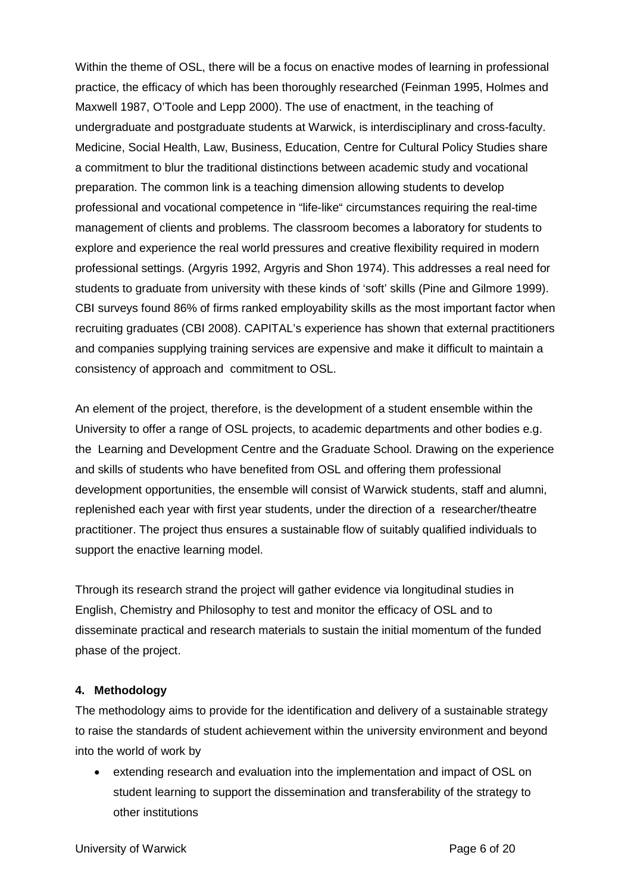Within the theme of OSL, there will be a focus on enactive modes of learning in professional practice, the efficacy of which has been thoroughly researched (Feinman 1995, Holmes and Maxwell 1987, O'Toole and Lepp 2000). The use of enactment, in the teaching of undergraduate and postgraduate students at Warwick, is interdisciplinary and cross-faculty. Medicine, Social Health, Law, Business, Education, Centre for Cultural Policy Studies share a commitment to blur the traditional distinctions between academic study and vocational preparation. The common link is a teaching dimension allowing students to develop professional and vocational competence in "life-like" circumstances requiring the real-time management of clients and problems. The classroom becomes a laboratory for students to explore and experience the real world pressures and creative flexibility required in modern professional settings. (Argyris 1992, Argyris and Shon 1974). This addresses a real need for students to graduate from university with these kinds of 'soft' skills (Pine and Gilmore 1999). CBI surveys found 86% of firms ranked employability skills as the most important factor when recruiting graduates (CBI 2008). CAPITAL's experience has shown that external practitioners and companies supplying training services are expensive and make it difficult to maintain a consistency of approach and commitment to OSL.

An element of the project, therefore, is the development of a student ensemble within the University to offer a range of OSL projects, to academic departments and other bodies e.g. the Learning and Development Centre and the Graduate School. Drawing on the experience and skills of students who have benefited from OSL and offering them professional development opportunities, the ensemble will consist of Warwick students, staff and alumni, replenished each year with first year students, under the direction of a researcher/theatre practitioner. The project thus ensures a sustainable flow of suitably qualified individuals to support the enactive learning model.

Through its research strand the project will gather evidence via longitudinal studies in English, Chemistry and Philosophy to test and monitor the efficacy of OSL and to disseminate practical and research materials to sustain the initial momentum of the funded phase of the project.

## **4. Methodology**

The methodology aims to provide for the identification and delivery of a sustainable strategy to raise the standards of student achievement within the university environment and beyond into the world of work by

 extending research and evaluation into the implementation and impact of OSL on student learning to support the dissemination and transferability of the strategy to other institutions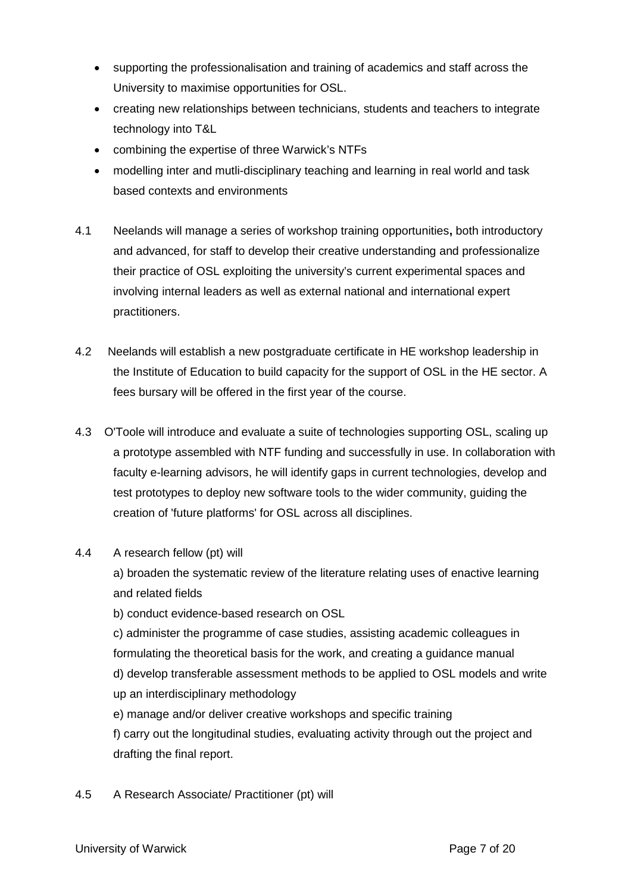- supporting the professionalisation and training of academics and staff across the University to maximise opportunities for OSL.
- creating new relationships between technicians, students and teachers to integrate technology into T&L
- combining the expertise of three Warwick's NTFs
- modelling inter and mutli-disciplinary teaching and learning in real world and task based contexts and environments
- 4.1 Neelands will manage a series of workshop training opportunities**,** both introductory and advanced, for staff to develop their creative understanding and professionalize their practice of OSL exploiting the university's current experimental spaces and involving internal leaders as well as external national and international expert practitioners.
- 4.2 Neelands will establish a new postgraduate certificate in HE workshop leadership in the Institute of Education to build capacity for the support of OSL in the HE sector. A fees bursary will be offered in the first year of the course.
- 4.3 O'Toole will introduce and evaluate a suite of technologies supporting OSL, scaling up a prototype assembled with NTF funding and successfully in use. In collaboration with faculty e-learning advisors, he will identify gaps in current technologies, develop and test prototypes to deploy new software tools to the wider community, guiding the creation of 'future platforms' for OSL across all disciplines.
- 4.4 A research fellow (pt) will

a) broaden the systematic review of the literature relating uses of enactive learning and related fields

b) conduct evidence-based research on OSL

c) administer the programme of case studies, assisting academic colleagues in formulating the theoretical basis for the work, and creating a guidance manual d) develop transferable assessment methods to be applied to OSL models and write up an interdisciplinary methodology

e) manage and/or deliver creative workshops and specific training f) carry out the longitudinal studies, evaluating activity through out the project and drafting the final report.

4.5 A Research Associate/ Practitioner (pt) will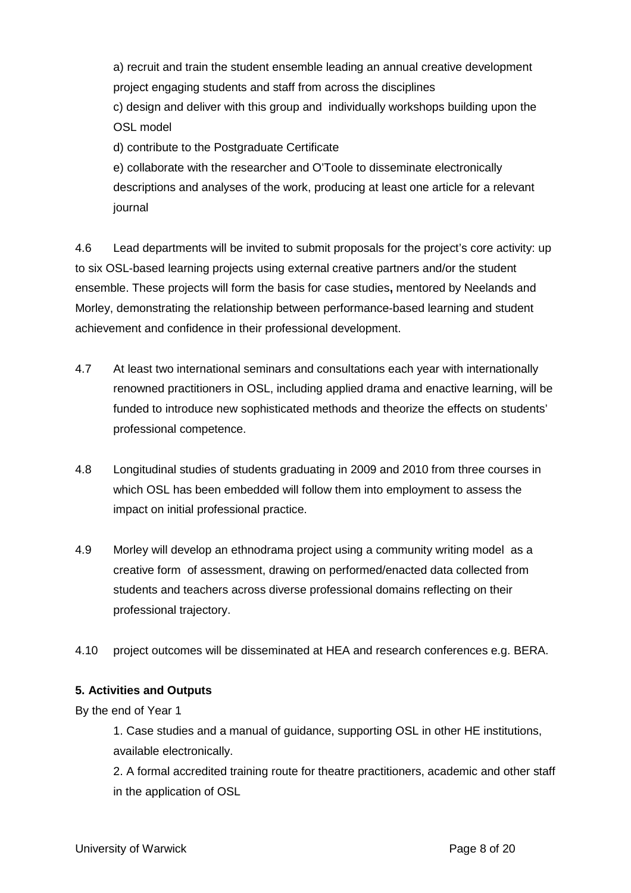a) recruit and train the student ensemble leading an annual creative development project engaging students and staff from across the disciplines

c) design and deliver with this group and individually workshops building upon the OSL model

d) contribute to the Postgraduate Certificate

e) collaborate with the researcher and O'Toole to disseminate electronically descriptions and analyses of the work, producing at least one article for a relevant journal

4.6 Lead departments will be invited to submit proposals for the project's core activity: up to six OSL-based learning projects using external creative partners and/or the student ensemble. These projects will form the basis for case studies**,** mentored by Neelands and Morley, demonstrating the relationship between performance-based learning and student achievement and confidence in their professional development.

- 4.7 At least two international seminars and consultations each year with internationally renowned practitioners in OSL, including applied drama and enactive learning, will be funded to introduce new sophisticated methods and theorize the effects on students' professional competence.
- 4.8 Longitudinal studies of students graduating in 2009 and 2010 from three courses in which OSL has been embedded will follow them into employment to assess the impact on initial professional practice.
- 4.9 Morley will develop an ethnodrama project using a community writing model as a creative form of assessment, drawing on performed/enacted data collected from students and teachers across diverse professional domains reflecting on their professional trajectory.
- 4.10 project outcomes will be disseminated at HEA and research conferences e.g. BERA.

# **5. Activities and Outputs**

By the end of Year 1

1. Case studies and a manual of guidance, supporting OSL in other HE institutions, available electronically.

2. A formal accredited training route for theatre practitioners, academic and other staff in the application of OSL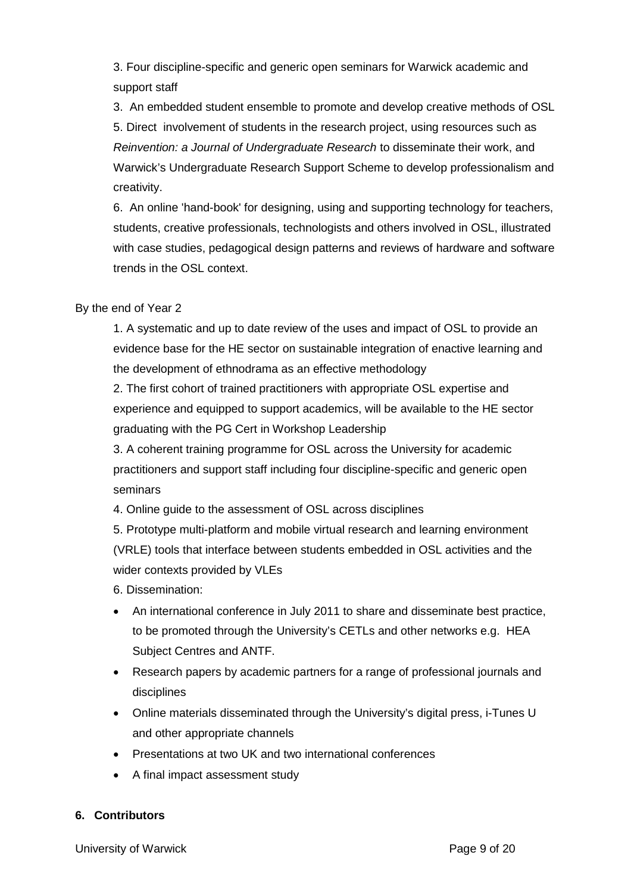3. Four discipline-specific and generic open seminars for Warwick academic and support staff

3. An embedded student ensemble to promote and develop creative methods of OSL 5. Direct involvement of students in the research project, using resources such as *Reinvention: a Journal of Undergraduate Research* to disseminate their work, and Warwick's Undergraduate Research Support Scheme to develop professionalism and creativity.

6. An online 'hand-book' for designing, using and supporting technology for teachers, students, creative professionals, technologists and others involved in OSL, illustrated with case studies, pedagogical design patterns and reviews of hardware and software trends in the OSL context.

By the end of Year 2

1. A systematic and up to date review of the uses and impact of OSL to provide an evidence base for the HE sector on sustainable integration of enactive learning and the development of ethnodrama as an effective methodology

2. The first cohort of trained practitioners with appropriate OSL expertise and experience and equipped to support academics, will be available to the HE sector graduating with the PG Cert in Workshop Leadership

3. A coherent training programme for OSL across the University for academic practitioners and support staff including four discipline-specific and generic open seminars

4. Online guide to the assessment of OSL across disciplines

5. Prototype multi-platform and mobile virtual research and learning environment (VRLE) tools that interface between students embedded in OSL activities and the wider contexts provided by VLEs

6. Dissemination:

- An international conference in July 2011 to share and disseminate best practice, to be promoted through the University's CETLs and other networks e.g. HEA Subject Centres and ANTF.
- Research papers by academic partners for a range of professional journals and disciplines
- Online materials disseminated through the University's digital press, i-Tunes U and other appropriate channels
- Presentations at two UK and two international conferences
- A final impact assessment study

# **6. Contributors**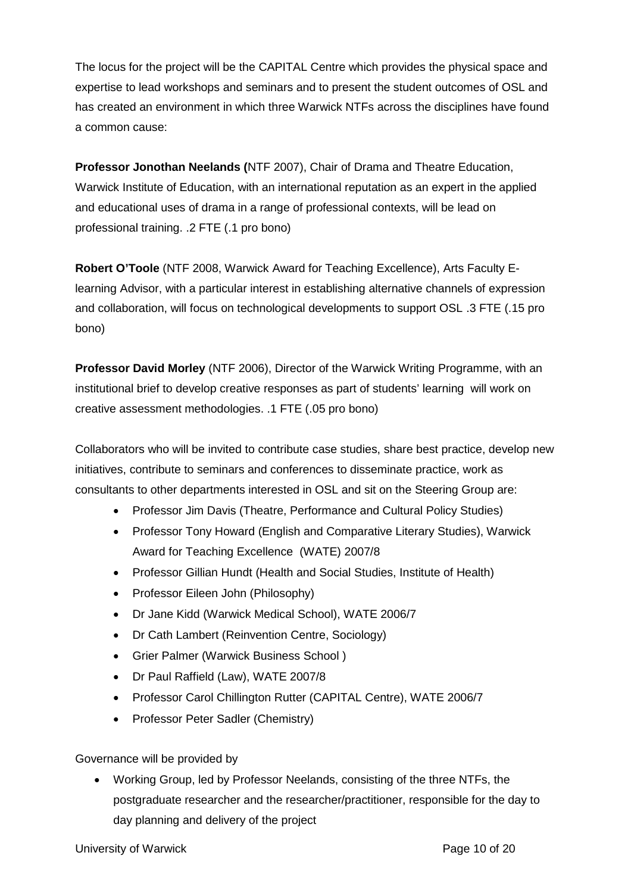The locus for the project will be the CAPITAL Centre which provides the physical space and expertise to lead workshops and seminars and to present the student outcomes of OSL and has created an environment in which three Warwick NTFs across the disciplines have found a common cause:

**Professor Jonothan Neelands (**NTF 2007), Chair of Drama and Theatre Education, Warwick Institute of Education, with an international reputation as an expert in the applied and educational uses of drama in a range of professional contexts, will be lead on professional training. .2 FTE (.1 pro bono)

**Robert O'Toole** (NTF 2008, Warwick Award for Teaching Excellence), Arts Faculty Elearning Advisor, with a particular interest in establishing alternative channels of expression and collaboration, will focus on technological developments to support OSL .3 FTE (.15 pro bono)

**Professor David Morley** (NTF 2006), Director of the Warwick Writing Programme, with an institutional brief to develop creative responses as part of students' learning will work on creative assessment methodologies. .1 FTE (.05 pro bono)

Collaborators who will be invited to contribute case studies, share best practice, develop new initiatives, contribute to seminars and conferences to disseminate practice, work as consultants to other departments interested in OSL and sit on the Steering Group are:

- Professor Jim Davis (Theatre, Performance and Cultural Policy Studies)
- Professor Tony Howard (English and Comparative Literary Studies), Warwick Award for Teaching Excellence (WATE) 2007/8
- Professor Gillian Hundt (Health and Social Studies, Institute of Health)
- Professor Eileen John (Philosophy)
- Dr Jane Kidd (Warwick Medical School), WATE 2006/7
- Dr Cath Lambert (Reinvention Centre, Sociology)
- Grier Palmer (Warwick Business School )
- Dr Paul Raffield (Law), WATE 2007/8
- Professor Carol Chillington Rutter (CAPITAL Centre), WATE 2006/7
- Professor Peter Sadler (Chemistry)

Governance will be provided by

 Working Group, led by Professor Neelands, consisting of the three NTFs, the postgraduate researcher and the researcher/practitioner, responsible for the day to day planning and delivery of the project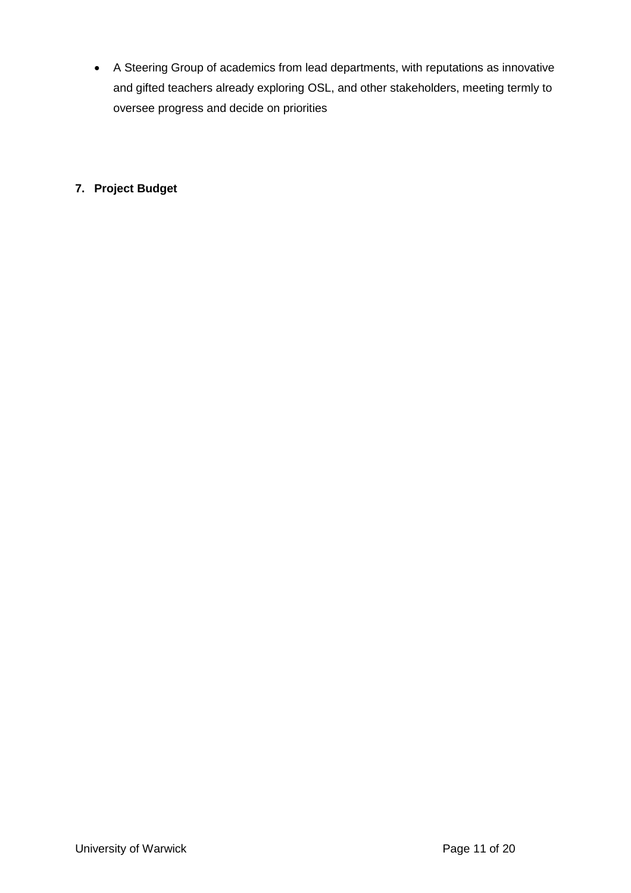A Steering Group of academics from lead departments, with reputations as innovative and gifted teachers already exploring OSL, and other stakeholders, meeting termly to oversee progress and decide on priorities

# **7. Project Budget**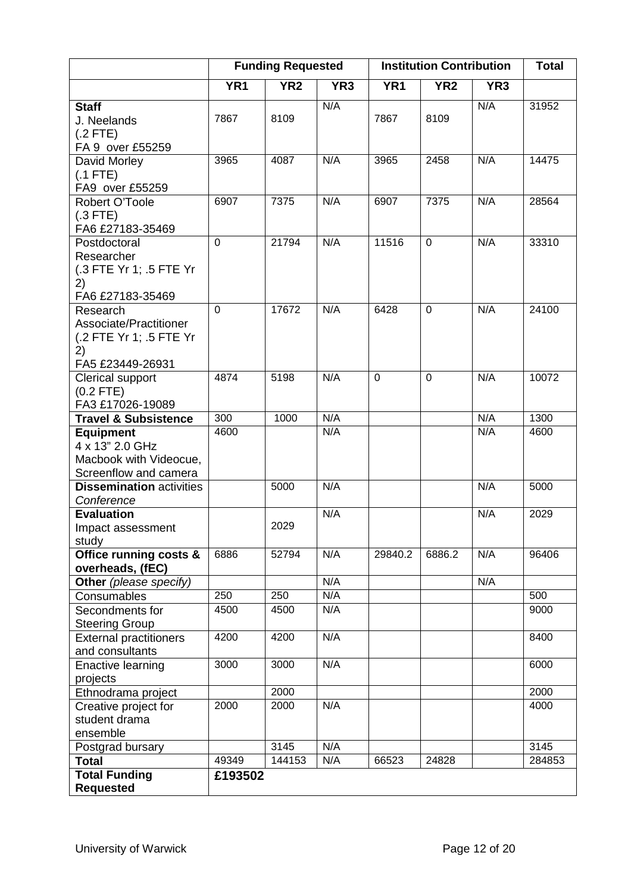|                                 |                 | <b>Funding Requested</b> | <b>Institution Contribution</b> |                 |                 |                 | <b>Total</b> |
|---------------------------------|-----------------|--------------------------|---------------------------------|-----------------|-----------------|-----------------|--------------|
|                                 | YR <sub>1</sub> | YR <sub>2</sub>          | YR <sub>3</sub>                 | YR <sub>1</sub> | YR <sub>2</sub> | YR <sub>3</sub> |              |
| <b>Staff</b>                    |                 |                          | N/A                             |                 |                 | N/A             | 31952        |
| J. Neelands                     | 7867            | 8109                     |                                 | 7867            | 8109            |                 |              |
| $(.2$ FTE)                      |                 |                          |                                 |                 |                 |                 |              |
| FA 9 over £55259                |                 |                          |                                 |                 |                 |                 |              |
| David Morley                    | 3965            | 4087                     | N/A                             | 3965            | 2458            | N/A             | 14475        |
| $(.1$ FTE)                      |                 |                          |                                 |                 |                 |                 |              |
| FA9 over £55259                 |                 |                          |                                 |                 |                 |                 |              |
| Robert O'Toole                  | 6907            | 7375                     | N/A                             | 6907            | 7375            | N/A             | 28564        |
| $(.3$ FTE)                      |                 |                          |                                 |                 |                 |                 |              |
| FA6 £27183-35469                |                 |                          |                                 |                 |                 |                 |              |
| Postdoctoral                    | $\overline{0}$  | 21794                    | N/A                             | 11516           | $\mathbf 0$     | N/A             | 33310        |
| Researcher                      |                 |                          |                                 |                 |                 |                 |              |
| (.3 FTE Yr 1; .5 FTE Yr         |                 |                          |                                 |                 |                 |                 |              |
| 2)                              |                 |                          |                                 |                 |                 |                 |              |
| FA6 £27183-35469                |                 |                          |                                 |                 |                 |                 |              |
| Research                        | $\overline{0}$  | 17672                    | N/A                             | 6428            | $\overline{0}$  | N/A             | 24100        |
| Associate/Practitioner          |                 |                          |                                 |                 |                 |                 |              |
| (.2 FTE Yr 1; .5 FTE Yr         |                 |                          |                                 |                 |                 |                 |              |
| 2)                              |                 |                          |                                 |                 |                 |                 |              |
| FA5 £23449-26931                |                 |                          |                                 |                 |                 |                 |              |
| Clerical support                | 4874            | 5198                     | N/A                             | 0               | 0               | N/A             | 10072        |
| $(0.2$ FTE)                     |                 |                          |                                 |                 |                 |                 |              |
| FA3 £17026-19089                |                 |                          |                                 |                 |                 |                 |              |
| <b>Travel &amp; Subsistence</b> | 300             | 1000                     | N/A                             |                 |                 | N/A             | 1300         |
| <b>Equipment</b>                | 4600            |                          | N/A                             |                 |                 | N/A             | 4600         |
| 4 x 13" 2.0 GHz                 |                 |                          |                                 |                 |                 |                 |              |
| Macbook with Videocue,          |                 |                          |                                 |                 |                 |                 |              |
| Screenflow and camera           |                 | 5000                     | N/A                             |                 |                 | N/A             | 5000         |
| <b>Dissemination activities</b> |                 |                          |                                 |                 |                 |                 |              |
| Conference                      |                 |                          | N/A                             |                 |                 |                 |              |
| <b>Evaluation</b>               |                 | 2029                     |                                 |                 |                 | N/A             | 2029         |
| Impact assessment               |                 |                          |                                 |                 |                 |                 |              |
| study<br>Office running costs & | 6886            | 52794                    | N/A                             | 29840.2         | 6886.2          | N/A             | 96406        |
| overheads, (fEC)                |                 |                          |                                 |                 |                 |                 |              |
| Other (please specify)          |                 |                          | N/A                             |                 |                 | N/A             |              |
| Consumables                     | 250             | 250                      | N/A                             |                 |                 |                 | 500          |
| Secondments for                 | 4500            | 4500                     | N/A                             |                 |                 |                 | 9000         |
| <b>Steering Group</b>           |                 |                          |                                 |                 |                 |                 |              |
| <b>External practitioners</b>   | 4200            | 4200                     | N/A                             |                 |                 |                 | 8400         |
| and consultants                 |                 |                          |                                 |                 |                 |                 |              |
| <b>Enactive learning</b>        | 3000            | 3000                     | N/A                             |                 |                 |                 | 6000         |
| projects                        |                 |                          |                                 |                 |                 |                 |              |
| Ethnodrama project              |                 | 2000                     |                                 |                 |                 |                 | 2000         |
| Creative project for            | 2000            | 2000                     | N/A                             |                 |                 |                 | 4000         |
| student drama                   |                 |                          |                                 |                 |                 |                 |              |
| ensemble                        |                 |                          |                                 |                 |                 |                 |              |
| Postgrad bursary                |                 | 3145                     | N/A                             |                 |                 |                 | 3145         |
| <b>Total</b>                    | 49349           | 144153                   | N/A                             | 66523           | 24828           |                 | 284853       |
| <b>Total Funding</b>            | £193502         |                          |                                 |                 |                 |                 |              |
| <b>Requested</b>                |                 |                          |                                 |                 |                 |                 |              |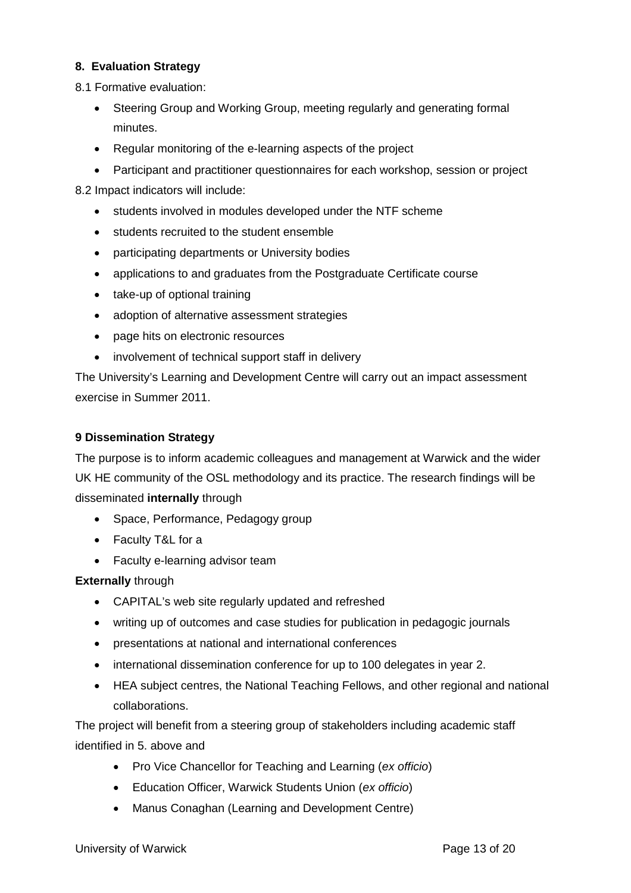# **8. Evaluation Strategy**

8.1 Formative evaluation:

- Steering Group and Working Group, meeting regularly and generating formal minutes.
- Regular monitoring of the e-learning aspects of the project
- Participant and practitioner questionnaires for each workshop, session or project

8.2 Impact indicators will include:

- students involved in modules developed under the NTF scheme
- students recruited to the student ensemble
- participating departments or University bodies
- applications to and graduates from the Postgraduate Certificate course
- take-up of optional training
- adoption of alternative assessment strategies
- page hits on electronic resources
- involvement of technical support staff in delivery

The University's Learning and Development Centre will carry out an impact assessment exercise in Summer 2011.

# **9 Dissemination Strategy**

The purpose is to inform academic colleagues and management at Warwick and the wider UK HE community of the OSL methodology and its practice. The research findings will be disseminated **internally** through

- Space, Performance, Pedagogy group
- Faculty T&L for a
- Faculty e-learning advisor team

# **Externally** through

- CAPITAL's web site regularly updated and refreshed
- writing up of outcomes and case studies for publication in pedagogic journals
- presentations at national and international conferences
- international dissemination conference for up to 100 delegates in year 2.
- HEA subject centres, the National Teaching Fellows, and other regional and national collaborations.

The project will benefit from a steering group of stakeholders including academic staff identified in 5. above and

- Pro Vice Chancellor for Teaching and Learning (*ex officio*)
- Education Officer, Warwick Students Union (*ex officio*)
- Manus Conaghan (Learning and Development Centre)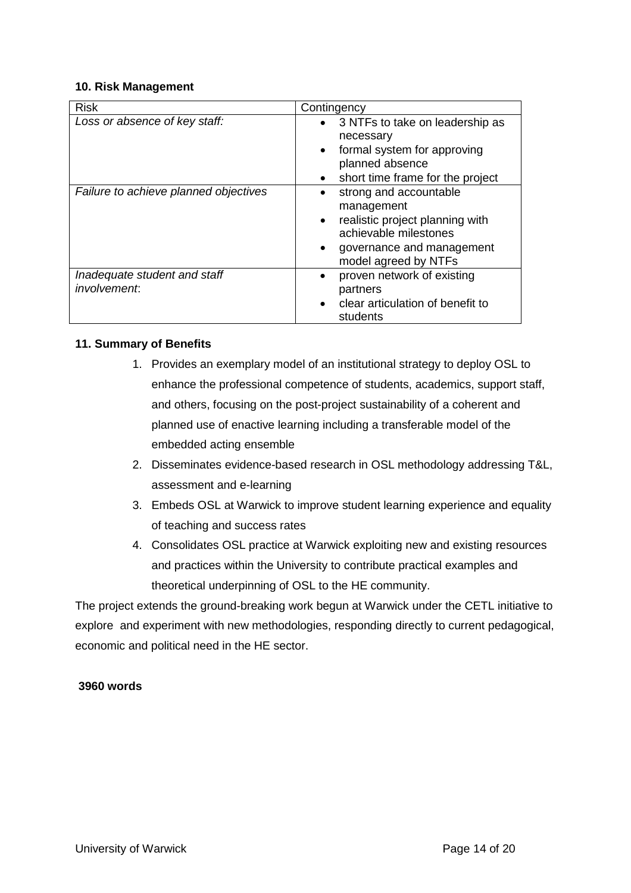## **10. Risk Management**

| <b>Risk</b>                           | Contingency                                   |  |
|---------------------------------------|-----------------------------------------------|--|
| Loss or absence of key staff:         | • 3 NTFs to take on leadership as             |  |
|                                       | necessary                                     |  |
|                                       | formal system for approving<br>$\bullet$      |  |
|                                       | planned absence                               |  |
|                                       | short time frame for the project<br>$\bullet$ |  |
| Failure to achieve planned objectives | strong and accountable                        |  |
|                                       | management                                    |  |
|                                       | realistic project planning with<br>$\bullet$  |  |
|                                       | achievable milestones                         |  |
|                                       | governance and management<br>$\bullet$        |  |
|                                       | model agreed by NTFs                          |  |
| Inadequate student and staff          | proven network of existing<br>$\bullet$       |  |
| involvement:                          | partners                                      |  |
|                                       | clear articulation of benefit to<br>$\bullet$ |  |
|                                       | students                                      |  |

## **11. Summary of Benefits**

- 1. Provides an exemplary model of an institutional strategy to deploy OSL to enhance the professional competence of students, academics, support staff, and others, focusing on the post-project sustainability of a coherent and planned use of enactive learning including a transferable model of the embedded acting ensemble
- 2. Disseminates evidence-based research in OSL methodology addressing T&L, assessment and e-learning
- 3. Embeds OSL at Warwick to improve student learning experience and equality of teaching and success rates
- 4. Consolidates OSL practice at Warwick exploiting new and existing resources and practices within the University to contribute practical examples and theoretical underpinning of OSL to the HE community.

The project extends the ground-breaking work begun at Warwick under the CETL initiative to explore and experiment with new methodologies, responding directly to current pedagogical, economic and political need in the HE sector.

## **3960 words**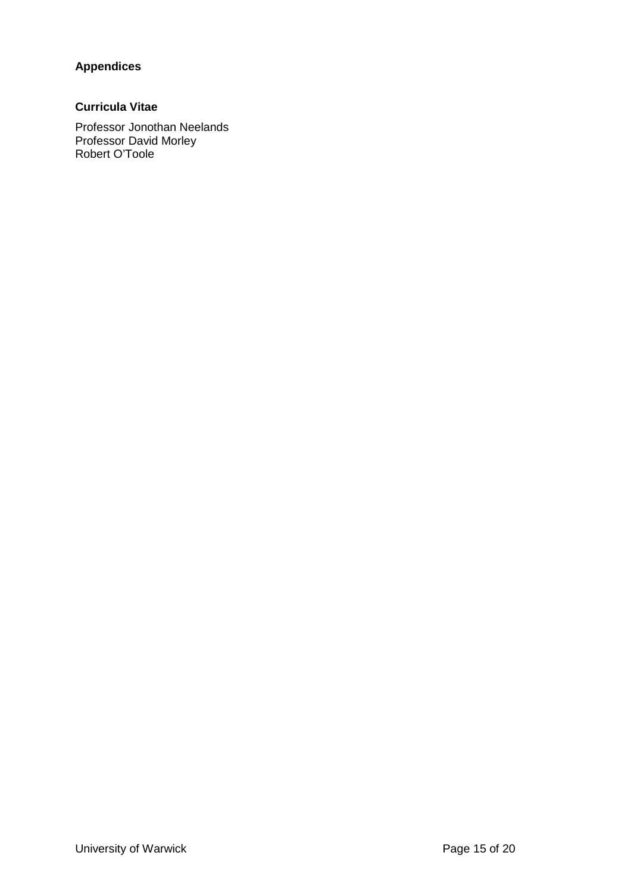# **Appendices**

# **Curricula Vitae**

Professor Jonothan Neelands Professor David Morley Robert O'Toole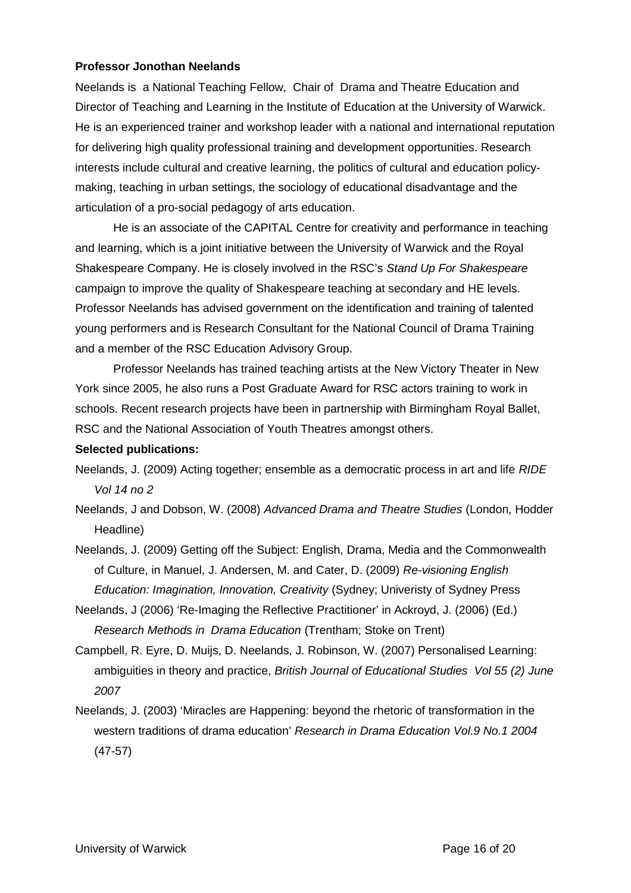## **Professor Jonothan Neelands**

Neelands is a National Teaching Fellow, Chair of Drama and Theatre Education and Director of Teaching and Learning in the Institute of Education at the University of Warwick. He is an experienced trainer and workshop leader with a national and international reputation for delivering high quality professional training and development opportunities. Research interests include cultural and creative learning, the politics of cultural and education policymaking, teaching in urban settings, the sociology of educational disadvantage and the articulation of a pro-social pedagogy of arts education.

He is an associate of the CAPITAL Centre for creativity and performance in teaching and learning, which is a joint initiative between the University of Warwick and the Royal Shakespeare Company. He is closely involved in the RSC's *Stand Up For Shakespeare* campaign to improve the quality of Shakespeare teaching at secondary and HE levels. Professor Neelands has advised government on the identification and training of talented young performers and is Research Consultant for the National Council of Drama Training and a member of the RSC Education Advisory Group.

Professor Neelands has trained teaching artists at the New Victory Theater in New York since 2005, he also runs a Post Graduate Award for RSC actors training to work in schools. Recent research projects have been in partnership with Birmingham Royal Ballet, RSC and the National Association of Youth Theatres amongst others.

## **Selected publications:**

- Neelands, J. (2009) Acting together; ensemble as a democratic process in art and life *RIDE Vol 14 no 2*
- Neelands, J and Dobson, W. (2008) *Advanced Drama and Theatre Studies* (London, Hodder Headline)
- Neelands, J. (2009) Getting off the Subject: English, Drama, Media and the Commonwealth of Culture, in Manuel, J. Andersen, M. and Cater, D. (2009) *Re-visioning English Education: Imagination, Innovation, Creativity* (Sydney; Univeristy of Sydney Press
- Neelands, J (2006) 'Re-Imaging the Reflective Practitioner' in Ackroyd, J. (2006) (Ed.) *Research Methods in Drama Education* (Trentham; Stoke on Trent)
- Campbell, R. Eyre, D. Muijs, D. Neelands, J. Robinson, W. (2007) Personalised Learning: ambiguities in theory and practice, *British Journal of Educational Studies Vol 55 (2) June 2007*
- Neelands, J. (2003) 'Miracles are Happening: beyond the rhetoric of transformation in the western traditions of drama education' *Research in Drama Education Vol.9 No.1 2004* (47-57)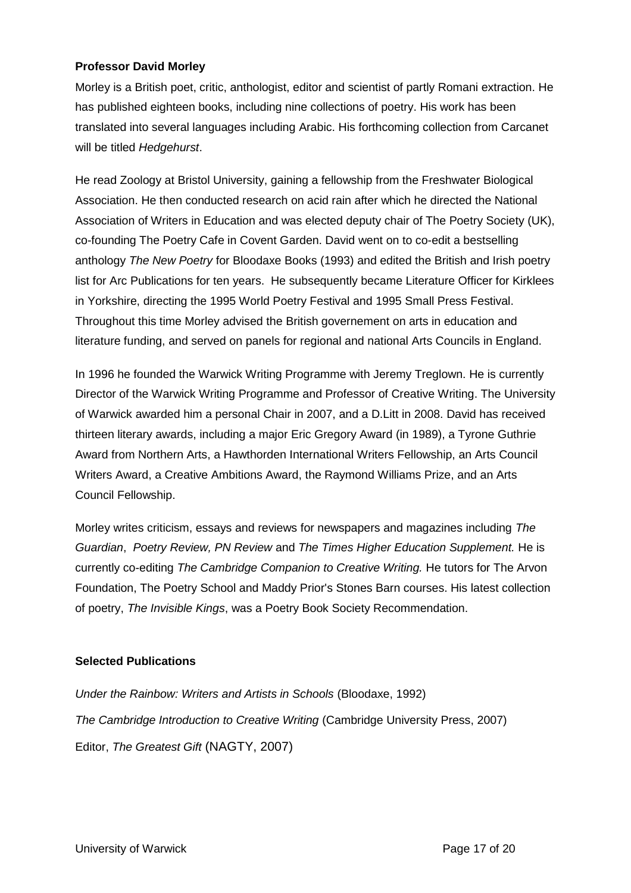## **Professor David Morley**

Morley is a British poet, critic, anthologist, editor and scientist of partly Romani extraction. He has published eighteen books, including nine collections of poetry. His work has been translated into several languages including Arabic. His forthcoming collection from Carcanet will be titled *Hedgehurst*.

He read Zoology at Bristol University, gaining a fellowship from the Freshwater Biological Association. He then conducted research on acid rain after which he directed the National Association of Writers in Education and was elected deputy chair of The Poetry Society (UK), co-founding The Poetry Cafe in Covent Garden. David went on to co-edit a bestselling anthology *The New Poetry* for Bloodaxe Books (1993) and edited the British and Irish poetry list for Arc Publications for ten years. He subsequently became Literature Officer for Kirklees in Yorkshire, directing the 1995 World Poetry Festival and 1995 Small Press Festival. Throughout this time Morley advised the British governement on arts in education and literature funding, and served on panels for regional and national Arts Councils in England.

In 1996 he founded the Warwick Writing Programme with Jeremy Treglown. He is currently Director of the Warwick Writing Programme and Professor of Creative Writing. The University of Warwick awarded him a personal Chair in 2007, and a D.Litt in 2008. David has received thirteen literary awards, including a major Eric Gregory Award (in 1989), a Tyrone Guthrie Award from Northern Arts, a Hawthorden International Writers Fellowship, an Arts Council Writers Award, a Creative Ambitions Award, the Raymond Williams Prize, and an Arts Council Fellowship.

Morley writes criticism, essays and reviews for newspapers and magazines including *The Guardian*, *Poetry Review, PN Review* and *The Times Higher Education Supplement.* He is currently co-editing *The Cambridge Companion to Creative Writing.* He tutors for The Arvon Foundation, The Poetry School and Maddy Prior's Stones Barn courses. His latest collection of poetry, *The Invisible Kings*, was a Poetry Book Society Recommendation.

## **Selected Publications**

*Under the Rainbow: Writers and Artists in Schools* (Bloodaxe, 1992) *The Cambridge Introduction to Creative Writing* (Cambridge University Press, 2007) Editor, *The Greatest Gift* (NAGTY, 2007)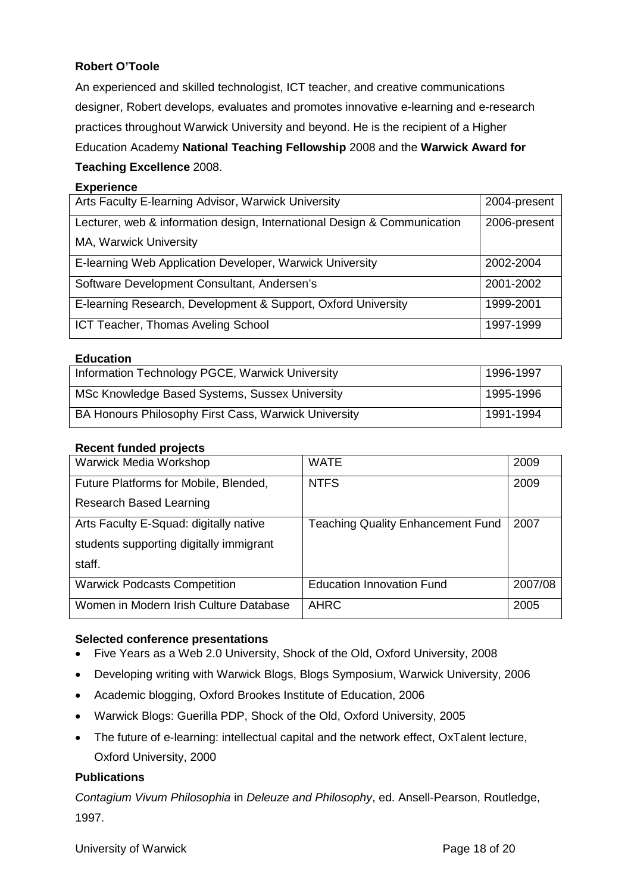# **Robert O'Toole**

An experienced and skilled technologist, ICT teacher, and creative communications designer, Robert develops, evaluates and promotes innovative e-learning and e-research practices throughout Warwick University and beyond. He is the recipient of a Higher Education Academy **National Teaching Fellowship** 2008 and the **Warwick Award for Teaching Excellence** 2008.

#### **Experience**

| Arts Faculty E-learning Advisor, Warwick University                      | 2004-present |
|--------------------------------------------------------------------------|--------------|
| Lecturer, web & information design, International Design & Communication | 2006-present |
| MA, Warwick University                                                   |              |
| E-learning Web Application Developer, Warwick University                 | 2002-2004    |
| Software Development Consultant, Andersen's                              | 2001-2002    |
| E-learning Research, Development & Support, Oxford University            | 1999-2001    |
| ICT Teacher, Thomas Aveling School                                       | 1997-1999    |

#### **Education**

| Information Technology PGCE, Warwick University      | 1996-1997 |
|------------------------------------------------------|-----------|
| MSc Knowledge Based Systems, Sussex University       | 1995-1996 |
| BA Honours Philosophy First Cass, Warwick University | 1991-1994 |

#### **Recent funded projects**

| Warwick Media Workshop                  | <b>WATE</b>                              | 2009    |
|-----------------------------------------|------------------------------------------|---------|
| Future Platforms for Mobile, Blended,   | <b>NTFS</b>                              | 2009    |
| Research Based Learning                 |                                          |         |
| Arts Faculty E-Squad: digitally native  | <b>Teaching Quality Enhancement Fund</b> | 2007    |
| students supporting digitally immigrant |                                          |         |
| staff.                                  |                                          |         |
| <b>Warwick Podcasts Competition</b>     | <b>Education Innovation Fund</b>         | 2007/08 |
| Women in Modern Irish Culture Database  | <b>AHRC</b>                              | 2005    |

## **Selected conference presentations**

- Five Years as a Web 2.0 University, Shock of the Old, Oxford University, 2008
- Developing writing with Warwick Blogs, Blogs Symposium, Warwick University, 2006
- Academic blogging, Oxford Brookes Institute of Education, 2006
- Warwick Blogs: Guerilla PDP, Shock of the Old, Oxford University, 2005
- The future of e-learning: intellectual capital and the network effect, OxTalent lecture, Oxford University, 2000

## **Publications**

*Contagium Vivum Philosophia* in *Deleuze and Philosophy*, ed. Ansell-Pearson, Routledge, 1997.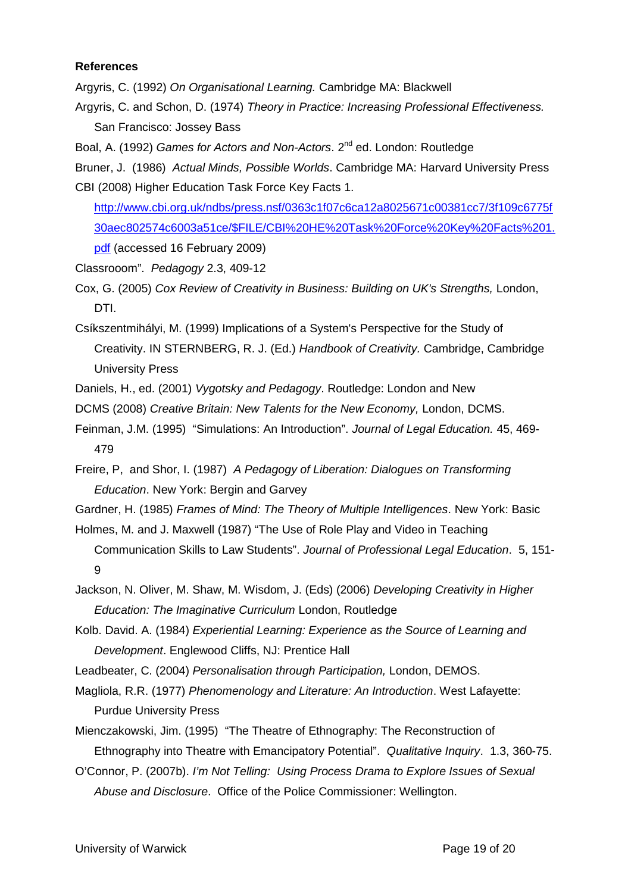#### **References**

Argyris, C. (1992) *On Organisational Learning.* Cambridge MA: Blackwell

- Argyris, C. and Schon, D. (1974) *Theory in Practice: Increasing Professional Effectiveness.* San Francisco: Jossey Bass
- Boal, A. (1992) *Games for Actors and Non-Actors*, 2<sup>nd</sup> ed. London: Routledge

Bruner, J. (1986) *Actual Minds, Possible Worlds*. Cambridge MA: Harvard University Press CBI (2008) Higher Education Task Force Key Facts 1.

http://www.cbi.org.uk/ndbs/press.nsf/0363c1f07c6ca12a8025671c00381cc7/3f109c6775f 30aec802574c6003a51ce/\$FILE/CBI%20HE%20Task%20Force%20Key%20Facts%201. pdf (accessed 16 February 2009)

Classrooom". *Pedagogy* 2.3, 409-12

Cox, G. (2005) *Cox Review of Creativity in Business: Building on UK's Strengths,* London, DTI.

Csíkszentmihályi, M. (1999) Implications of a System's Perspective for the Study of Creativity. IN STERNBERG, R. J. (Ed.) *Handbook of Creativity.* Cambridge, Cambridge University Press

- Daniels, H., ed. (2001) *Vygotsky and Pedagogy*. Routledge: London and New
- DCMS (2008) *Creative Britain: New Talents for the New Economy,* London, DCMS.
- Feinman, J.M. (1995) "Simulations: An Introduction". *Journal of Legal Education.* 45, 469- 479
- Freire, P, and Shor, I. (1987) *A Pedagogy of Liberation: Dialogues on Transforming Education*. New York: Bergin and Garvey
- Gardner, H. (1985) *Frames of Mind: The Theory of Multiple Intelligences*. New York: Basic

Holmes, M. and J. Maxwell (1987) "The Use of Role Play and Video in Teaching Communication Skills to Law Students". *Journal of Professional Legal Education*. 5, 151- 9

Jackson, N. Oliver, M. Shaw, M. Wisdom, J. (Eds) (2006) *Developing Creativity in Higher Education: The Imaginative Curriculum* London, Routledge

- Kolb. David. A. (1984) *Experiential Learning: Experience as the Source of Learning and Development*. Englewood Cliffs, NJ: Prentice Hall
- Leadbeater, C. (2004) *Personalisation through Participation,* London, DEMOS.

Magliola, R.R. (1977) *Phenomenology and Literature: An Introduction*. West Lafayette: Purdue University Press

Mienczakowski, Jim. (1995) "The Theatre of Ethnography: The Reconstruction of Ethnography into Theatre with Emancipatory Potential". *Qualitative Inquiry*. 1.3, 360-75.

O'Connor, P. (2007b). *I'm Not Telling: Using Process Drama to Explore Issues of Sexual Abuse and Disclosure*. Office of the Police Commissioner: Wellington.